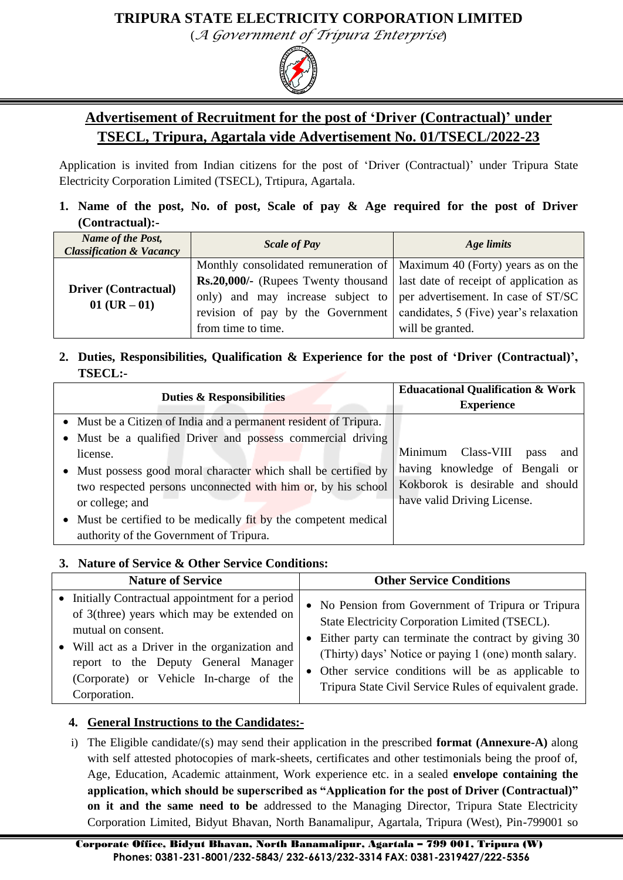### **TRIPURA STATE ELECTRICITY CORPORATION LIMITED**

(*A Government of Tripura Enterprise*)



## **Advertisement of Recruitment for the post of "Driver (Contractual)" under TSECL, Tripura, Agartala vide Advertisement No. 01/TSECL/2022-23**

Application is invited from Indian citizens for the post of 'Driver (Contractual)' under Tripura State Electricity Corporation Limited (TSECL), Trtipura, Agartala.

#### **1. Name of the post, No. of post, Scale of pay & Age required for the post of Driver (Contractual):-**

| Name of the Post,<br><b>Classification &amp; Vacancy</b> | <b>Scale of Pay</b>                                                                 | Age limits                             |  |  |
|----------------------------------------------------------|-------------------------------------------------------------------------------------|----------------------------------------|--|--|
|                                                          | Monthly consolidated remuneration of   Maximum 40 (Forty) years as on the           |                                        |  |  |
|                                                          | <b>Rs.20,000/-</b> (Rupees Twenty thousand   last date of receipt of application as |                                        |  |  |
| <b>Driver (Contractual)</b><br>$01$ (UR $-01$ )          | only) and may increase subject to per advertisement. In case of ST/SC               |                                        |  |  |
|                                                          | revision of pay by the Government                                                   | candidates, 5 (Five) year's relaxation |  |  |
|                                                          | from time to time.                                                                  | will be granted.                       |  |  |

#### **2. Duties, Responsibilities, Qualification & Experience for the post of "Driver (Contractual)", TSECL:-**

| <b>Duties &amp; Responsibilities</b>                              | <b>Eduacational Qualification &amp; Work</b> |  |  |  |
|-------------------------------------------------------------------|----------------------------------------------|--|--|--|
|                                                                   | <b>Experience</b>                            |  |  |  |
| • Must be a Citizen of India and a permanent resident of Tripura. |                                              |  |  |  |
| • Must be a qualified Driver and possess commercial driving       |                                              |  |  |  |
| license.                                                          | Minimum Class-VIII<br>pass<br>and            |  |  |  |
| Must possess good moral character which shall be certified by     | having knowledge of Bengali or               |  |  |  |
| two respected persons unconnected with him or, by his school      | Kokborok is desirable and should             |  |  |  |
| or college; and                                                   | have valid Driving License.                  |  |  |  |
| • Must be certified to be medically fit by the competent medical  |                                              |  |  |  |
| authority of the Government of Tripura.                           |                                              |  |  |  |

### **3. Nature of Service & Other Service Conditions:**

| <b>Nature of Service</b>                                                                                                                                                                                                                                                  | <b>Other Service Conditions</b>                                                                                                                                                                                                                                                                                                          |  |  |
|---------------------------------------------------------------------------------------------------------------------------------------------------------------------------------------------------------------------------------------------------------------------------|------------------------------------------------------------------------------------------------------------------------------------------------------------------------------------------------------------------------------------------------------------------------------------------------------------------------------------------|--|--|
| • Initially Contractual appointment for a period<br>of 3(three) years which may be extended on<br>mutual on consent.<br>• Will act as a Driver in the organization and<br>report to the Deputy General Manager<br>(Corporate) or Vehicle In-charge of the<br>Corporation. | • No Pension from Government of Tripura or Tripura<br>State Electricity Corporation Limited (TSECL).<br>• Either party can terminate the contract by giving 30<br>(Thirty) days' Notice or paying 1 (one) month salary.<br>• Other service conditions will be as applicable to<br>Tripura State Civil Service Rules of equivalent grade. |  |  |

### **4. General Instructions to the Candidates:-**

i) The Eligible candidate/(s) may send their application in the prescribed **format (Annexure-A)** along with self attested photocopies of mark-sheets, certificates and other testimonials being the proof of, Age, Education, Academic attainment, Work experience etc. in a sealed **envelope containing the application, which should be superscribed as "Application for the post of Driver (Contractual)" on it and the same need to be** addressed to the Managing Director, Tripura State Electricity Corporation Limited, Bidyut Bhavan, North Banamalipur, Agartala, Tripura (West), Pin-799001 so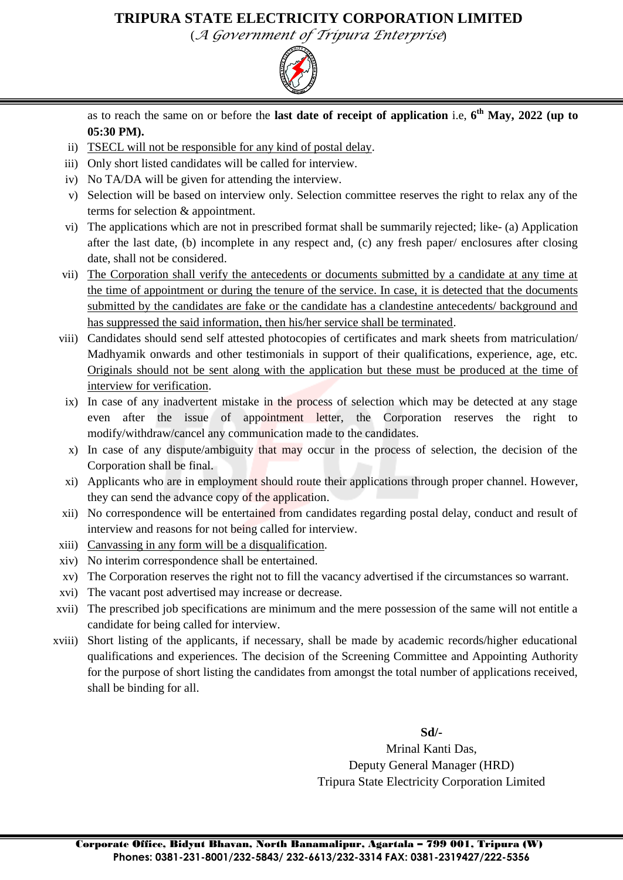### **TRIPURA STATE ELECTRICITY CORPORATION LIMITED**

(*A Government of Tripura Enterprise*)



as to reach the same on or before the **last date of receipt of application** i.e, **6 th May, 2022 (up to 05:30 PM).**

- ii) TSECL will not be responsible for any kind of postal delay.
- iii) Only short listed candidates will be called for interview.
- iv) No TA/DA will be given for attending the interview.
- v) Selection will be based on interview only. Selection committee reserves the right to relax any of the terms for selection & appointment.
- vi) The applications which are not in prescribed format shall be summarily rejected; like- (a) Application after the last date, (b) incomplete in any respect and, (c) any fresh paper/ enclosures after closing date, shall not be considered.
- vii) The Corporation shall verify the antecedents or documents submitted by a candidate at any time at the time of appointment or during the tenure of the service. In case, it is detected that the documents submitted by the candidates are fake or the candidate has a clandestine antecedents/ background and has suppressed the said information, then his/her service shall be terminated.
- viii) Candidates should send self attested photocopies of certificates and mark sheets from matriculation/ Madhyamik onwards and other testimonials in support of their qualifications, experience, age, etc. Originals should not be sent along with the application but these must be produced at the time of interview for verification.
	- ix) In case of any inadvertent mistake in the process of selection which may be detected at any stage even after the issue of appointment letter, the Corporation reserves the right to modify/withdraw/cancel any communication made to the candidates.
	- x) In case of any dispute/ambiguity that may occur in the process of selection, the decision of the Corporation shall be final.
	- xi) Applicants who are in employment should route their applications through proper channel. However, they can send the advance copy of the application.
- xii) No correspondence will be entertained from candidates regarding postal delay, conduct and result of interview and reasons for not being called for interview.
- xiii) Canvassing in any form will be a disqualification.
- xiv) No interim correspondence shall be entertained.
- xv) The Corporation reserves the right not to fill the vacancy advertised if the circumstances so warrant.
- xvi) The vacant post advertised may increase or decrease.
- xvii) The prescribed job specifications are minimum and the mere possession of the same will not entitle a candidate for being called for interview.
- xviii) Short listing of the applicants, if necessary, shall be made by academic records/higher educational qualifications and experiences. The decision of the Screening Committee and Appointing Authority for the purpose of short listing the candidates from amongst the total number of applications received, shall be binding for all.

**Sd/-**

Mrinal Kanti Das, Deputy General Manager (HRD) Tripura State Electricity Corporation Limited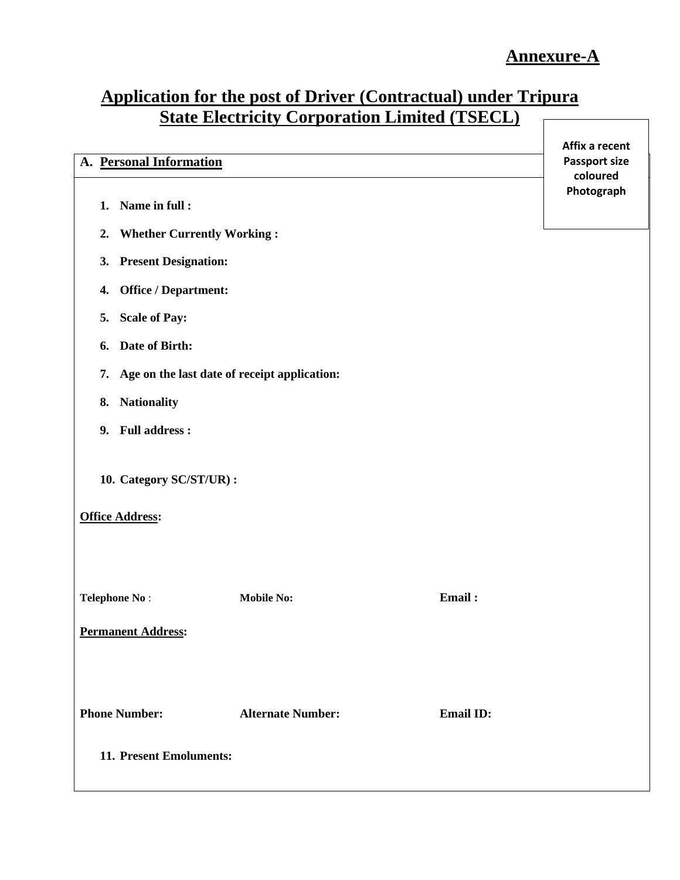## **Application for the post of Driver (Contractual) under Tripura State Electricity Corporation Limited (TSECL)**

| A. Personal Information                                              | Affix a recent<br><b>Passport size</b> |  |  |  |
|----------------------------------------------------------------------|----------------------------------------|--|--|--|
|                                                                      | coloured                               |  |  |  |
| 1. Name in full :                                                    | Photograph                             |  |  |  |
| <b>Whether Currently Working:</b><br>2.                              |                                        |  |  |  |
| 3. Present Designation:                                              |                                        |  |  |  |
| 4. Office / Department:                                              |                                        |  |  |  |
| 5. Scale of Pay:                                                     |                                        |  |  |  |
| Date of Birth:<br>6.                                                 |                                        |  |  |  |
| Age on the last date of receipt application:<br>7.                   |                                        |  |  |  |
| <b>Nationality</b><br>8.                                             |                                        |  |  |  |
| 9. Full address :                                                    |                                        |  |  |  |
| 10. Category SC/ST/UR):                                              |                                        |  |  |  |
| <b>Office Address:</b>                                               |                                        |  |  |  |
|                                                                      |                                        |  |  |  |
| Email:<br><b>Mobile No:</b><br><b>Telephone No:</b>                  |                                        |  |  |  |
|                                                                      |                                        |  |  |  |
| <b>Permanent Address:</b>                                            |                                        |  |  |  |
|                                                                      |                                        |  |  |  |
| <b>Phone Number:</b><br><b>Alternate Number:</b><br><b>Email ID:</b> |                                        |  |  |  |
|                                                                      |                                        |  |  |  |
| 11. Present Emoluments:                                              |                                        |  |  |  |
|                                                                      |                                        |  |  |  |